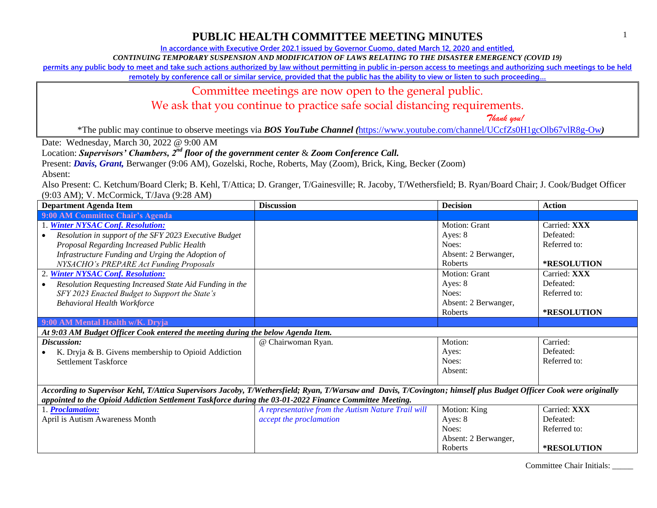**In accordance with Executive Order 202.1 issued by Governor Cuomo, dated March 12, 2020 and entitled,**

*CONTINUING TEMPORARY SUSPENSION AND MODIFICATION OF LAWS RELATING TO THE DISASTER EMERGENCY (COVID 19)*

**permits any public body to meet and take such actions authorized by law without permitting in public in-person access to meetings and authorizing such meetings to be held** 

**remotely by conference call or similar service, provided that the public has the ability to view or listen to such proceeding…**

#### Committee meetings are now open to the general public.

We ask that you continue to practice safe social distancing requirements.

 *Thank you!*

\*The public may continue to observe meetings via *BOS YouTube Channel (*<https://www.youtube.com/channel/UCcfZs0H1gcOlb67vlR8g-Ow>*)*

Date: Wednesday, March 30, 2022 @ 9:00 AM

Location: *Supervisors' Chambers, 2nd floor of the government center* & *Zoom Conference Call.*

Present: *Davis, Grant,* Berwanger (9:06 AM), Gozelski, Roche, Roberts, May (Zoom), Brick, King, Becker (Zoom)

Absent:

Also Present: C. Ketchum/Board Clerk; B. Kehl, T/Attica; D. Granger, T/Gainesville; R. Jacoby, T/Wethersfield; B. Ryan/Board Chair; J. Cook/Budget Officer (9:03 AM); V. McCormick, T/Java (9:28 AM)

| <b>Department Agenda Item</b>                                                                                                                                      | <b>Discussion</b>                                  | <b>Decision</b>      | <b>Action</b> |
|--------------------------------------------------------------------------------------------------------------------------------------------------------------------|----------------------------------------------------|----------------------|---------------|
| 9:00 AM Committee Chair's Agenda                                                                                                                                   |                                                    |                      |               |
| 1. Winter NYSAC Conf. Resolution:                                                                                                                                  |                                                    | Motion: Grant        | Carried: XXX  |
| Resolution in support of the SFY 2023 Executive Budget<br>$\bullet$                                                                                                |                                                    | Ayes: 8              | Defeated:     |
| Proposal Regarding Increased Public Health                                                                                                                         |                                                    | Noes:                | Referred to:  |
| Infrastructure Funding and Urging the Adoption of                                                                                                                  |                                                    | Absent: 2 Berwanger, |               |
| NYSACHO's PREPARE Act Funding Proposals                                                                                                                            |                                                    | Roberts              | *RESOLUTION   |
| 2. Winter NYSAC Conf. Resolution:                                                                                                                                  |                                                    | Motion: Grant        | Carried: XXX  |
| Resolution Requesting Increased State Aid Funding in the<br>$\bullet$                                                                                              |                                                    | Ayes: 8              | Defeated:     |
| SFY 2023 Enacted Budget to Support the State's                                                                                                                     |                                                    | Noes:                | Referred to:  |
| <b>Behavioral Health Workforce</b>                                                                                                                                 |                                                    | Absent: 2 Berwanger, |               |
|                                                                                                                                                                    |                                                    | Roberts              | *RESOLUTION   |
| 9:00 AM Mental Health w/K. Dryja                                                                                                                                   |                                                    |                      |               |
| At 9:03 AM Budget Officer Cook entered the meeting during the below Agenda Item.                                                                                   |                                                    |                      |               |
| Discussion:                                                                                                                                                        | @ Chairwoman Ryan.                                 | Motion:              | Carried:      |
| K. Dryja & B. Givens membership to Opioid Addiction                                                                                                                |                                                    | Ayes:                | Defeated:     |
| <b>Settlement Taskforce</b>                                                                                                                                        |                                                    | Noes:                | Referred to:  |
|                                                                                                                                                                    |                                                    | Absent:              |               |
|                                                                                                                                                                    |                                                    |                      |               |
| According to Supervisor Kehl, T/Attica Supervisors Jacoby, T/Wethersfield; Ryan, T/Warsaw and Davis, T/Covington; himself plus Budget Officer Cook were originally |                                                    |                      |               |
| appointed to the Opioid Addiction Settlement Taskforce during the 03-01-2022 Finance Committee Meeting.                                                            |                                                    |                      |               |
| 1. Proclamation:                                                                                                                                                   | A representative from the Autism Nature Trail will | Motion: King         | Carried: XXX  |
| April is Autism Awareness Month                                                                                                                                    | accept the proclamation                            | Ayes: 8              | Defeated:     |
|                                                                                                                                                                    |                                                    | Noes:                | Referred to:  |
|                                                                                                                                                                    |                                                    | Absent: 2 Berwanger, |               |
|                                                                                                                                                                    |                                                    | Roberts              | *RESOLUTION   |

Committee Chair Initials: \_\_\_\_\_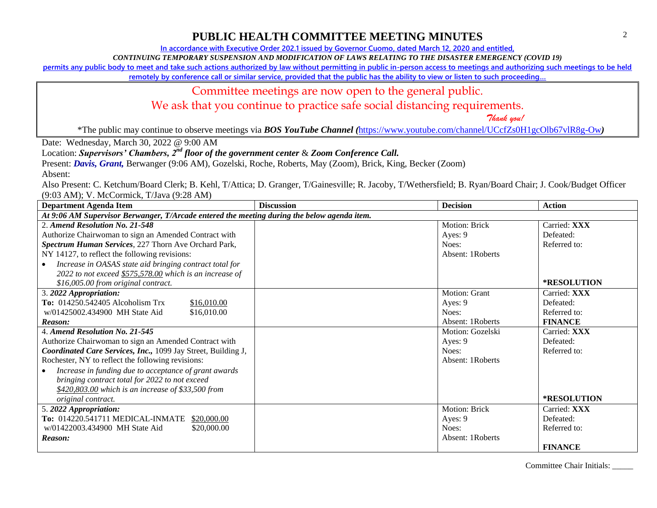**In accordance with Executive Order 202.1 issued by Governor Cuomo, dated March 12, 2020 and entitled,**

*CONTINUING TEMPORARY SUSPENSION AND MODIFICATION OF LAWS RELATING TO THE DISASTER EMERGENCY (COVID 19)*

**permits any public body to meet and take such actions authorized by law without permitting in public in-person access to meetings and authorizing such meetings to be held** 

**remotely by conference call or similar service, provided that the public has the ability to view or listen to such proceeding…**

#### Committee meetings are now open to the general public.

We ask that you continue to practice safe social distancing requirements.

 *Thank you!*

\*The public may continue to observe meetings via *BOS YouTube Channel (*<https://www.youtube.com/channel/UCcfZs0H1gcOlb67vlR8g-Ow>*)*

Date: Wednesday, March 30, 2022 @ 9:00 AM

Location: *Supervisors' Chambers, 2nd floor of the government center* & *Zoom Conference Call.*

Present: *Davis, Grant,* Berwanger (9:06 AM), Gozelski, Roche, Roberts, May (Zoom), Brick, King, Becker (Zoom)

Absent:

Also Present: C. Ketchum/Board Clerk; B. Kehl, T/Attica; D. Granger, T/Gainesville; R. Jacoby, T/Wethersfield; B. Ryan/Board Chair; J. Cook/Budget Officer (9:03 AM); V. McCormick, T/Java (9:28 AM)

| <b>Department Agenda Item</b>                                                               | <b>Discussion</b> | <b>Decision</b>  | <b>Action</b>      |
|---------------------------------------------------------------------------------------------|-------------------|------------------|--------------------|
| At 9:06 AM Supervisor Berwanger, T/Arcade entered the meeting during the below agenda item. |                   |                  |                    |
| 2. Amend Resolution No. 21-548                                                              |                   | Motion: Brick    | Carried: XXX       |
| Authorize Chairwoman to sign an Amended Contract with                                       |                   | Ayes: 9          | Defeated:          |
| Spectrum Human Services, 227 Thorn Ave Orchard Park,                                        |                   | Noes:            | Referred to:       |
| NY 14127, to reflect the following revisions:                                               |                   | Absent: 1Roberts |                    |
| Increase in OASAS state aid bringing contract total for                                     |                   |                  |                    |
| 2022 to not exceed \$575,578.00 which is an increase of                                     |                   |                  |                    |
| \$16,005.00 from original contract.                                                         |                   |                  | <b>*RESOLUTION</b> |
| 3. 2022 Appropriation:                                                                      |                   | Motion: Grant    | Carried: XXX       |
| To: 014250.542405 Alcoholism Trx<br>\$16,010.00                                             |                   | Ayes: 9          | Defeated:          |
| w/01425002.434900 MH State Aid<br>\$16,010.00                                               |                   | Noes:            | Referred to:       |
| Reason:                                                                                     |                   | Absent: 1Roberts | <b>FINANCE</b>     |
| 4. Amend Resolution No. 21-545                                                              |                   | Motion: Gozelski | Carried: XXX       |
| Authorize Chairwoman to sign an Amended Contract with                                       |                   | Ayes: 9          | Defeated:          |
| Coordinated Care Services, Inc., 1099 Jay Street, Building J,                               |                   | Noes:            | Referred to:       |
| Rochester, NY to reflect the following revisions:                                           |                   | Absent: 1Roberts |                    |
| Increase in funding due to acceptance of grant awards                                       |                   |                  |                    |
| bringing contract total for 2022 to not exceed                                              |                   |                  |                    |
| \$420,803.00 which is an increase of \$33,500 from                                          |                   |                  |                    |
| original contract.                                                                          |                   |                  | *RESOLUTION        |
| 5. 2022 Appropriation:                                                                      |                   | Motion: Brick    | Carried: XXX       |
| To: 014220.541711 MEDICAL-INMATE \$20,000.00                                                |                   | Ayes: 9          | Defeated:          |
| w/01422003.434900 MH State Aid<br>\$20,000.00                                               |                   | Noes:            | Referred to:       |
| Reason:                                                                                     |                   | Absent: 1Roberts |                    |
|                                                                                             |                   |                  | <b>FINANCE</b>     |

Committee Chair Initials: \_\_\_\_\_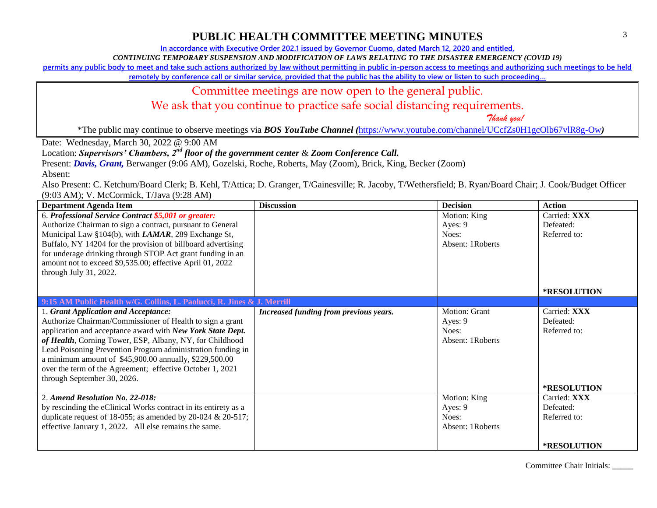**In accordance with Executive Order 202.1 issued by Governor Cuomo, dated March 12, 2020 and entitled,**

*CONTINUING TEMPORARY SUSPENSION AND MODIFICATION OF LAWS RELATING TO THE DISASTER EMERGENCY (COVID 19)*

**permits any public body to meet and take such actions authorized by law without permitting in public in-person access to meetings and authorizing such meetings to be held** 

**remotely by conference call or similar service, provided that the public has the ability to view or listen to such proceeding…**

#### Committee meetings are now open to the general public.

We ask that you continue to practice safe social distancing requirements.

 *Thank you!*

\*The public may continue to observe meetings via *BOS YouTube Channel (*<https://www.youtube.com/channel/UCcfZs0H1gcOlb67vlR8g-Ow>*)*

Date: Wednesday, March 30, 2022 @ 9:00 AM

Location: *Supervisors' Chambers, 2nd floor of the government center* & *Zoom Conference Call.*

Present: *Davis, Grant,* Berwanger (9:06 AM), Gozelski, Roche, Roberts, May (Zoom), Brick, King, Becker (Zoom)

Absent:

Also Present: C. Ketchum/Board Clerk; B. Kehl, T/Attica; D. Granger, T/Gainesville; R. Jacoby, T/Wethersfield; B. Ryan/Board Chair; J. Cook/Budget Officer (9:03 AM); V. McCormick, T/Java (9:28 AM)

| <b>Department Agenda Item</b>                                          | <b>Discussion</b>                      | <b>Decision</b>  | <b>Action</b>      |
|------------------------------------------------------------------------|----------------------------------------|------------------|--------------------|
| 6. Professional Service Contract \$5,001 or greater:                   |                                        | Motion: King     | Carried: XXX       |
| Authorize Chairman to sign a contract, pursuant to General             |                                        | Ayes: 9          | Defeated:          |
| Municipal Law §104(b), with LAMAR, 289 Exchange St,                    |                                        | Noes:            | Referred to:       |
| Buffalo, NY 14204 for the provision of billboard advertising           |                                        | Absent: 1Roberts |                    |
| for underage drinking through STOP Act grant funding in an             |                                        |                  |                    |
| amount not to exceed \$9,535.00; effective April 01, 2022              |                                        |                  |                    |
| through July 31, 2022.                                                 |                                        |                  |                    |
|                                                                        |                                        |                  |                    |
|                                                                        |                                        |                  | <b>*RESOLUTION</b> |
| 9:15 AM Public Health w/G. Collins, L. Paolucci, R. Jines & J. Merrill |                                        |                  |                    |
| 1. Grant Application and Acceptance:                                   | Increased funding from previous years. | Motion: Grant    | Carried: XXX       |
| Authorize Chairman/Commissioner of Health to sign a grant              |                                        | Ayes: 9          | Defeated:          |
| application and acceptance award with New York State Dept.             |                                        | Noes:            | Referred to:       |
| of Health, Corning Tower, ESP, Albany, NY, for Childhood               |                                        | Absent: 1Roberts |                    |
| Lead Poisoning Prevention Program administration funding in            |                                        |                  |                    |
| a minimum amount of \$45,900.00 annually, \$229,500.00                 |                                        |                  |                    |
| over the term of the Agreement; effective October 1, 2021              |                                        |                  |                    |
| through September 30, 2026.                                            |                                        |                  |                    |
|                                                                        |                                        |                  | *RESOLUTION        |
| 2. Amend Resolution No. 22-018:                                        |                                        | Motion: King     | Carried: XXX       |
| by rescinding the eClinical Works contract in its entirety as a        |                                        | Ayes: 9          | Defeated:          |
| duplicate request of 18-055; as amended by 20-024 $& 20-517$ ;         |                                        | Noes:            | Referred to:       |
| effective January 1, 2022. All else remains the same.                  |                                        | Absent: 1Roberts |                    |
|                                                                        |                                        |                  |                    |
|                                                                        |                                        |                  | <b>*RESOLUTION</b> |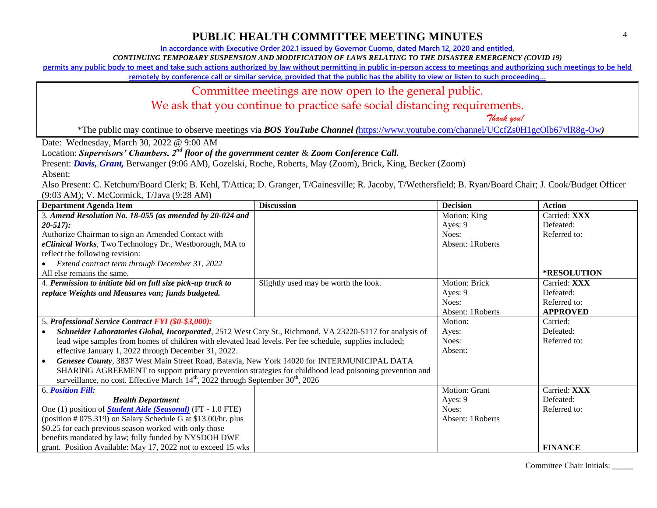**In accordance with Executive Order 202.1 issued by Governor Cuomo, dated March 12, 2020 and entitled,**

*CONTINUING TEMPORARY SUSPENSION AND MODIFICATION OF LAWS RELATING TO THE DISASTER EMERGENCY (COVID 19)*

**permits any public body to meet and take such actions authorized by law without permitting in public in-person access to meetings and authorizing such meetings to be held** 

**remotely by conference call or similar service, provided that the public has the ability to view or listen to such proceeding…**

#### Committee meetings are now open to the general public.

We ask that you continue to practice safe social distancing requirements.

 *Thank you!*

\*The public may continue to observe meetings via *BOS YouTube Channel (*<https://www.youtube.com/channel/UCcfZs0H1gcOlb67vlR8g-Ow>*)*

Date: Wednesday, March 30, 2022 @ 9:00 AM

#### Location: *Supervisors' Chambers, 2nd floor of the government center* & *Zoom Conference Call.*

Present: *Davis, Grant,* Berwanger (9:06 AM), Gozelski, Roche, Roberts, May (Zoom), Brick, King, Becker (Zoom)

Absent:

Also Present: C. Ketchum/Board Clerk; B. Kehl, T/Attica; D. Granger, T/Gainesville; R. Jacoby, T/Wethersfield; B. Ryan/Board Chair; J. Cook/Budget Officer (9:03 AM); V. McCormick, T/Java (9:28 AM)

| <b>Department Agenda Item</b>                                                                            | <b>Discussion</b>                    | <b>Decision</b>  | <b>Action</b>   |
|----------------------------------------------------------------------------------------------------------|--------------------------------------|------------------|-----------------|
| 3. Amend Resolution No. 18-055 (as amended by 20-024 and                                                 |                                      | Motion: King     | Carried: XXX    |
| $20-517$ :                                                                                               |                                      | Ayes: 9          | Defeated:       |
| Authorize Chairman to sign an Amended Contact with                                                       |                                      | Noes:            | Referred to:    |
| eClinical Works, Two Technology Dr., Westborough, MA to                                                  |                                      | Absent: 1Roberts |                 |
| reflect the following revision:                                                                          |                                      |                  |                 |
| Extend contract term through December 31, 2022                                                           |                                      |                  |                 |
| All else remains the same.                                                                               |                                      |                  | *RESOLUTION     |
| 4. Permission to initiate bid on full size pick-up truck to                                              | Slightly used may be worth the look. | Motion: Brick    | Carried: XXX    |
| replace Weights and Measures van; funds budgeted.                                                        |                                      | Ayes: 9          | Defeated:       |
|                                                                                                          |                                      | Noes:            | Referred to:    |
|                                                                                                          |                                      | Absent: 1Roberts | <b>APPROVED</b> |
| 5. Professional Service Contract FYI (\$0-\$3,000):                                                      |                                      | Motion:          | Carried:        |
| Schneider Laboratories Global, Incorporated, 2512 West Cary St., Richmond, VA 23220-5117 for analysis of |                                      | Ayes:            | Defeated:       |
| lead wipe samples from homes of children with elevated lead levels. Per fee schedule, supplies included; |                                      | Noes:            | Referred to:    |
| effective January 1, 2022 through December 31, 2022.                                                     |                                      | Absent:          |                 |
| Genesee County, 3837 West Main Street Road, Batavia, New York 14020 for INTERMUNICIPAL DATA              |                                      |                  |                 |
| SHARING AGREEMENT to support primary prevention strategies for childhood lead poisoning prevention and   |                                      |                  |                 |
| surveillance, no cost. Effective March $14th$ , 2022 through September $30th$ , 2026                     |                                      |                  |                 |
| <b>6. Position Fill:</b>                                                                                 |                                      | Motion: Grant    | Carried: XXX    |
| <b>Health Department</b>                                                                                 |                                      | Ayes: 9          | Defeated:       |
| One (1) position of <b>Student Aide (Seasonal)</b> (FT - 1.0 FTE)                                        |                                      | Noes:            | Referred to:    |
| (position # 075.319) on Salary Schedule G at \$13.00/hr. plus                                            |                                      | Absent: 1Roberts |                 |
| \$0.25 for each previous season worked with only those                                                   |                                      |                  |                 |
| benefits mandated by law; fully funded by NYSDOH DWE                                                     |                                      |                  |                 |
| grant. Position Available: May 17, 2022 not to exceed 15 wks                                             |                                      |                  | <b>FINANCE</b>  |

Committee Chair Initials: \_\_\_\_\_